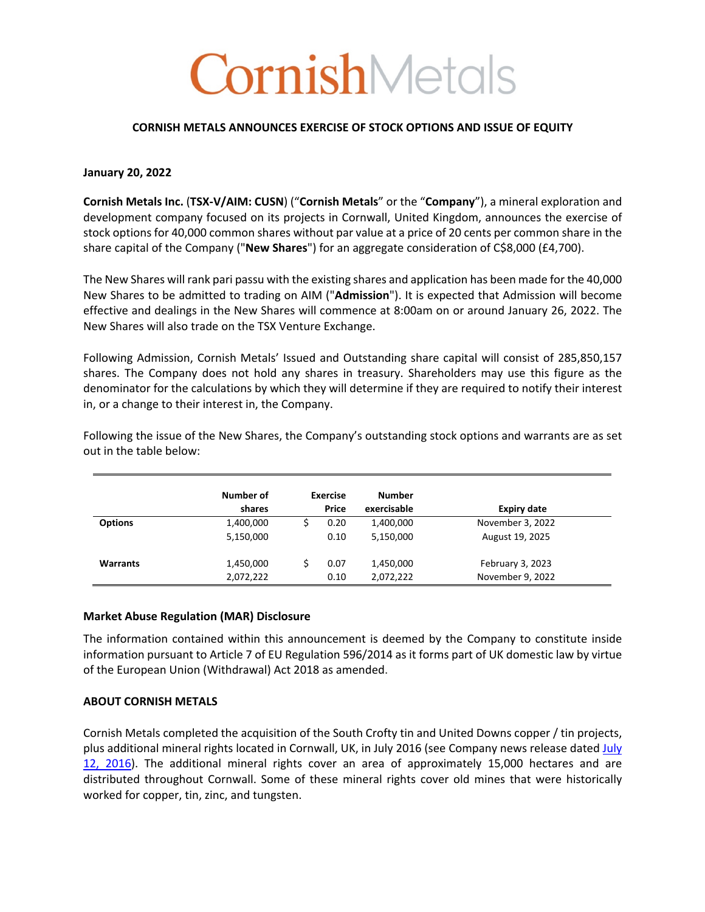# CornishMetals

## **CORNISH METALS ANNOUNCES EXERCISE OF STOCK OPTIONS AND ISSUE OF EQUITY**

# **January 20, 2022**

**Cornish Metals Inc.** (**TSX-V/AIM: CUSN**) ("**Cornish Metals**" or the "**Company**"), a mineral exploration and development company focused on its projects in Cornwall, United Kingdom, announces the exercise of stock options for 40,000 common shares without par value at a price of 20 cents per common share in the share capital of the Company ("**New Shares**") for an aggregate consideration of C\$8,000 (£4,700).

The New Shares will rank pari passu with the existing shares and application has been made for the 40,000 New Shares to be admitted to trading on AIM ("**Admission**"). It is expected that Admission will become effective and dealings in the New Shares will commence at 8:00am on or around January 26, 2022. The New Shares will also trade on the TSX Venture Exchange.

Following Admission, Cornish Metals' Issued and Outstanding share capital will consist of 285,850,157 shares. The Company does not hold any shares in treasury. Shareholders may use this figure as the denominator for the calculations by which they will determine if they are required to notify their interest in, or a change to their interest in, the Company.

|                 | Number of<br>shares    | <b>Exercise</b><br>Price | <b>Number</b><br>exercisable | <b>Expiry date</b>                   |
|-----------------|------------------------|--------------------------|------------------------------|--------------------------------------|
| <b>Options</b>  | 1,400,000<br>5,150,000 | 0.20<br>0.10             | 1,400,000<br>5,150,000       | November 3, 2022<br>August 19, 2025  |
| <b>Warrants</b> | 1,450,000<br>2,072,222 | 0.07<br>0.10             | 1,450,000<br>2,072,222       | February 3, 2023<br>November 9, 2022 |

Following the issue of the New Shares, the Company's outstanding stock options and warrants are as set out in the table below:

## **Market Abuse Regulation (MAR) Disclosure**

The information contained within this announcement is deemed by the Company to constitute inside information pursuant to Article 7 of EU Regulation 596/2014 as it forms part of UK domestic law by virtue of the European Union (Withdrawal) Act 2018 as amended.

## **ABOUT CORNISH METALS**

Cornish Metals completed the acquisition of the South Crofty tin and United Downs copper / tin projects, plus additional mineral rights located in Cornwall, UK, in July 2016 (see Company news release dated July 12, 2016). The additional mineral rights cover an area of approximately 15,000 hectares and are distributed throughout Cornwall. Some of these mineral rights cover old mines that were historically worked for copper, tin, zinc, and tungsten.